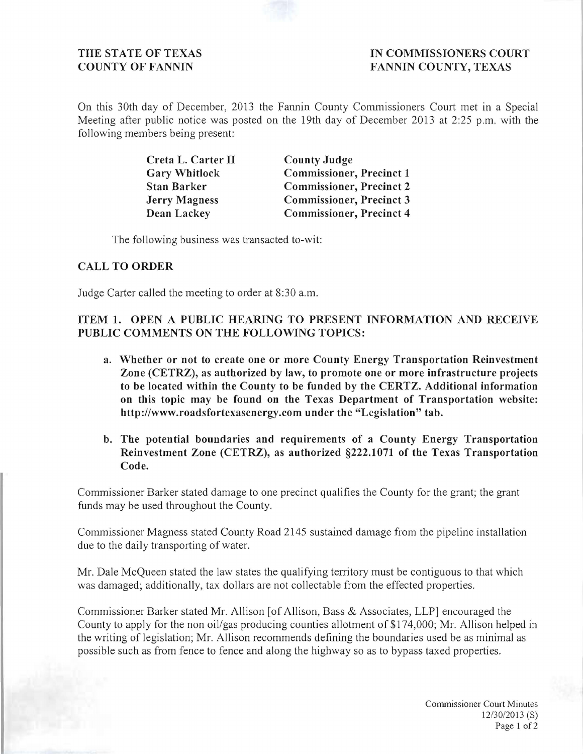THE STATE OF TEXAS **IN COMMISSIONERS COURT** COUNTY OF FANNIN FANNIN COUNTY, TEXAS

On this 30th day of December, 2013 the Fannin County Commissioners Court met in a Special Meeting after public notice was posted on the 19th day of December 2013 at 2:25 p.m. with the following members being present:

| Creta L. Carter II   | <b>County Judge</b>             |
|----------------------|---------------------------------|
| <b>Gary Whitlock</b> | <b>Commissioner, Precinct 1</b> |
| <b>Stan Barker</b>   | <b>Commissioner, Precinct 2</b> |
| <b>Jerry Magness</b> | <b>Commissioner, Precinct 3</b> |
| Dean Lackey          | <b>Commissioner, Precinct 4</b> |

The following business was transacted to-wit:

## CALL TO ORDER

Judge Carter called the meeting to order at 8:30 a.m.

## ITEM 1. OPEN A PUBLIC HEARING TO PRESENT INFORMATION AND RECEIVE PUBLIC COMMENTS ON THE FOLLOWING TOPICS:

- a. Whether or not to create one or more County Energy Transportation Reinvestment Zone (CETRZ), as authorized by law, to promote one or more infrastructure projects to be located within the County to be funded by the CERTZ. Additional information on this topic may be found on the Texas Department of Transportation website: http://www.roadsfortexasenergy.com under the "Legislation" tab.
- b. The potential boundaries and requirements of a County Energy Transportation Reinvestment Zone (CETRZ), as authorized §222.1071 of the Texas Transportation Code.

Commissioner Barker stated damage to one precinct qualifies the County for the grant; the grant funds may be used throughout the County.

Commissioner Magness stated County Road 2145 sustained damage from the pipeline installation due to the daily transporting of water.

Mr. Dale McQueen stated the law states the qualifying territory must be contiguous to that which was damaged; additionally, tax dollars are not collectable from the effected properties.

Commissioner Barker stated Mr. Allison [of Allison, Bass & Associates, LLP] encouraged the County to apply for the non oil/gas producing counties allotment of \$174,000; Mr. Allison helped in the writing of legislation; Mr. Allison recommends defining the boundaries used be as minimal as possible such as from fence to fence and along the highway so as to bypass taxed properties.

> Commissioner Court Minutes *12/30/2013* (S) Page 1 of 2